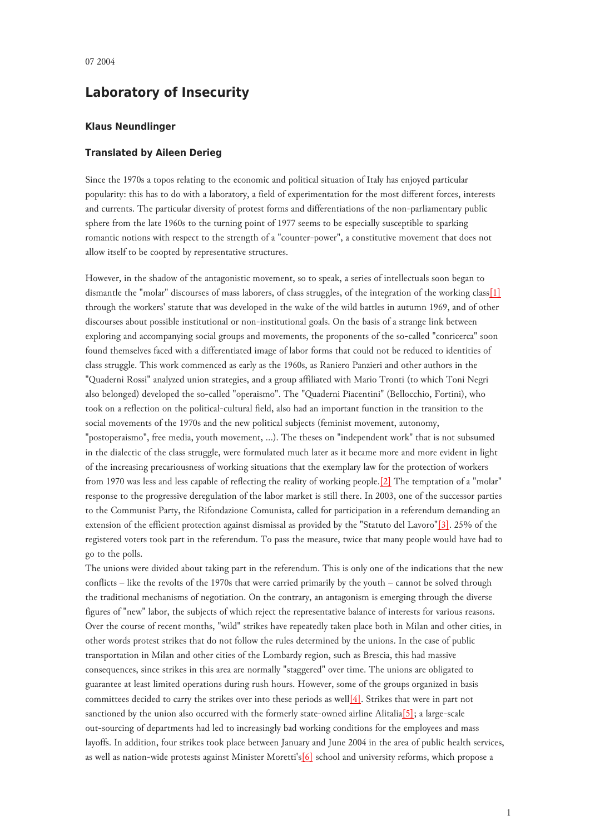## **Laboratory of Insecurity**

## **Klaus Neundlinger**

## **Translated by Aileen Derieg**

Since the 1970s a topos relating to the economic and political situation of Italy has enjoyed particular popularity: this has to do with a laboratory, a field of experimentation for the most different forces, interests and currents. The particular diversity of protest forms and differentiations of the non-parliamentary public sphere from the late 1960s to the turning point of 1977 seems to be especially susceptible to sparking romantic notions with respect to the strength of a "counter-power", a constitutive movement that does not allow itself to be coopted by representative structures.

<span id="page-0-0"></span>However, in the shadow of the antagonistic movement, so to speak, a series of intellectuals soon began to dismantle the "molar" discourses of mass laborers, of class struggles, of the integration of the working class[\[1\]](#page-2-0) through the workers' statute that was developed in the wake of the wild battles in autumn 1969, and of other discourses about possible institutional or non-institutional goals. On the basis of a strange link between exploring and accompanying social groups and movements, the proponents of the so-called "conricerca" soon found themselves faced with a differentiated image of labor forms that could not be reduced to identities of class struggle. This work commenced as early as the 1960s, as Raniero Panzieri and other authors in the "Quaderni Rossi" analyzed union strategies, and a group affiliated with Mario Tronti (to which Toni Negri also belonged) developed the so-called "operaismo". The "Quaderni Piacentini" (Bellocchio, Fortini), who took on a reflection on the political-cultural field, also had an important function in the transition to the social movements of the 1970s and the new political subjects (feminist movement, autonomy, "postoperaismo", free media, youth movement, ...). The theses on "independent work" that is not subsumed in the dialectic of the class struggle, were formulated much later as it became more and more evident in light of the increasing precariousness of working situations that the exemplary law for the protection of workers from 1970 was less and less capable of reflecting the reality of working people.[\[2\]](#page-2-1) The temptation of a "molar" response to the progressive deregulation of the labor market is still there. In 2003, one of the successor parties to the Communist Party, the Rifondazione Comunista, called for participation in a referendum demanding an extension of the efficient protection against dismissal as provided by the "Statuto del Lavoro"[\[3\].](#page-2-2) 25% of the registered voters took part in the referendum. To pass the measure, twice that many people would have had to go to the polls.

The unions were divided about taking part in the referendum. This is only one of the indications that the new conflicts – like the revolts of the 1970s that were carried primarily by the youth – cannot be solved through the traditional mechanisms of negotiation. On the contrary, an antagonism is emerging through the diverse figures of "new" labor, the subjects of which reject the representative balance of interests for various reasons. Over the course of recent months, "wild" strikes have repeatedly taken place both in Milan and other cities, in other words protest strikes that do not follow the rules determined by the unions. In the case of public transportation in Milan and other cities of the Lombardy region, such as Brescia, this had massive consequences, since strikes in this area are normally "staggered" over time. The unions are obligated to guarantee at least limited operations during rush hours. However, some of the groups organized in basis committees decided to carry the strikes over into these periods as well<sup>[4]</sup>. Strikes that were in part not sanctioned by the union also occurred with the formerly state-owned airline Alitalia[\[5\];](#page-2-4) a large-scale out-sourcing of departments had led to increasingly bad working conditions for the employees and mass layoffs. In addition, four strikes took place between January and June 2004 in the area of public health services, as well as nation-wide protests against Minister Moretti'[s\[6\]](#page-2-5) school and university reforms, which propose a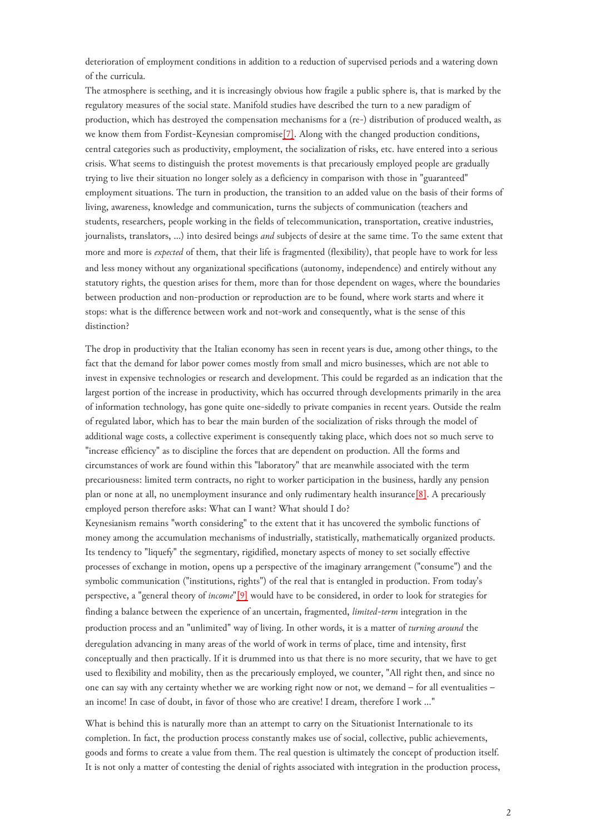deterioration of employment conditions in addition to a reduction of supervised periods and a watering down of the curricula.

The atmosphere is seething, and it is increasingly obvious how fragile a public sphere is, that is marked by the regulatory measures of the social state. Manifold studies have described the turn to a new paradigm of production, which has destroyed the compensation mechanisms for a (re-) distribution of produced wealth, as we know them from Fordist-Keynesian compromis[e\[7\].](#page-2-6) Along with the changed production conditions, central categories such as productivity, employment, the socialization of risks, etc. have entered into a serious crisis. What seems to distinguish the protest movements is that precariously employed people are gradually trying to live their situation no longer solely as a deficiency in comparison with those in "guaranteed" employment situations. The turn in production, the transition to an added value on the basis of their forms of living, awareness, knowledge and communication, turns the subjects of communication (teachers and students, researchers, people working in the fields of telecommunication, transportation, creative industries, journalists, translators, ...) into desired beings *and* subjects of desire at the same time. To the same extent that more and more is *expected* of them, that their life is fragmented (flexibility), that people have to work for less and less money without any organizational specifications (autonomy, independence) and entirely without any statutory rights, the question arises for them, more than for those dependent on wages, where the boundaries between production and non-production or reproduction are to be found, where work starts and where it stops: what is the difference between work and not-work and consequently, what is the sense of this distinction?

<span id="page-1-0"></span>The drop in productivity that the Italian economy has seen in recent years is due, among other things, to the fact that the demand for labor power comes mostly from small and micro businesses, which are not able to invest in expensive technologies or research and development. This could be regarded as an indication that the largest portion of the increase in productivity, which has occurred through developments primarily in the area of information technology, has gone quite one-sidedly to private companies in recent years. Outside the realm of regulated labor, which has to bear the main burden of the socialization of risks through the model of additional wage costs, a collective experiment is consequently taking place, which does not so much serve to "increase efficiency" as to discipline the forces that are dependent on production. All the forms and circumstances of work are found within this "laboratory" that are meanwhile associated with the term precariousness: limited term contracts, no right to worker participation in the business, hardly any pension plan or none at all, no unemployment insurance and only rudimentary health insurance[\[8\].](#page-2-7) A precariously employed person therefore asks: What can I want? What should I do?

Keynesianism remains "worth considering" to the extent that it has uncovered the symbolic functions of money among the accumulation mechanisms of industrially, statistically, mathematically organized products. Its tendency to "liquefy" the segmentary, rigidified, monetary aspects of money to set socially effective processes of exchange in motion, opens up a perspective of the imaginary arrangement ("consume") and the symbolic communication ("institutions, rights") of the real that is entangled in production. From today's perspective, a "general theory of *income*"[\[9\]](#page-2-8) would have to be considered, in order to look for strategies for finding a balance between the experience of an uncertain, fragmented, *limited-term* integration in the production process and an "unlimited" way of living. In other words, it is a matter of *turning around* the deregulation advancing in many areas of the world of work in terms of place, time and intensity, first conceptually and then practically. If it is drummed into us that there is no more security, that we have to get used to flexibility and mobility, then as the precariously employed, we counter, "All right then, and since no one can say with any certainty whether we are working right now or not, we demand – for all eventualities – an income! In case of doubt, in favor of those who are creative! I dream, therefore I work ..."

<span id="page-1-1"></span>What is behind this is naturally more than an attempt to carry on the Situationist Internationale to its completion. In fact, the production process constantly makes use of social, collective, public achievements, goods and forms to create a value from them. The real question is ultimately the concept of production itself. It is not only a matter of contesting the denial of rights associated with integration in the production process,